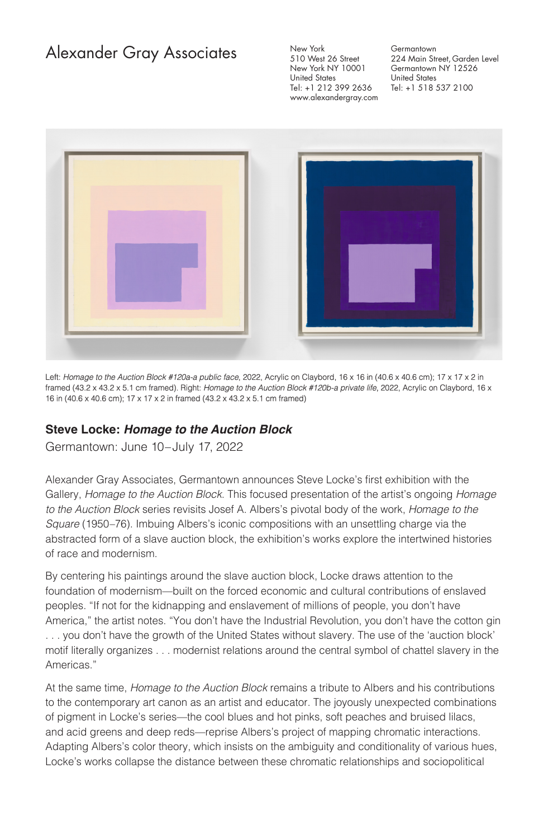## Alexander Gray Associates

New York 510 West 26 Street New York NY 10001 United States Tel: +1 212 399 2636 www.alexandergray.com

**Germantown** 224 Main Street, Garden Level Germantown NY 12526 United States Tel: +1 518 537 2100



Left: *Homage to the Auction Block #120a-a public face*, 2022, Acrylic on Claybord, 16 x 16 in (40.6 x 40.6 cm); 17 x 17 x 2 in framed (43.2 x 43.2 x 5.1 cm framed). Right: *Homage to the Auction Block #120b-a private life*, 2022, Acrylic on Claybord, 16 x 16 in (40.6 x 40.6 cm); 17 x 17 x 2 in framed (43.2 x 43.2 x 5.1 cm framed)

## **Steve Locke: Homage to the Auction Block**

Germantown: June 10–July 17, 2022

Alexander Gray Associates, Germantown announces Steve Locke's first exhibition with the Gallery, *Homage to the Auction Block*. This focused presentation of the artist's ongoing *Homage to the Auction Block* series revisits Josef A. Albers's pivotal body of the work, *Homage to the Square* (1950–76). Imbuing Albers's iconic compositions with an unsettling charge via the abstracted form of a slave auction block, the exhibition's works explore the intertwined histories of race and modernism.

By centering his paintings around the slave auction block, Locke draws attention to the foundation of modernism—built on the forced economic and cultural contributions of enslaved peoples. "If not for the kidnapping and enslavement of millions of people, you don't have America," the artist notes. "You don't have the Industrial Revolution, you don't have the cotton gin . . . you don't have the growth of the United States without slavery. The use of the 'auction block' motif literally organizes . . . modernist relations around the central symbol of chattel slavery in the Americas."

At the same time, *Homage to the Auction Block* remains a tribute to Albers and his contributions to the contemporary art canon as an artist and educator. The joyously unexpected combinations of pigment in Locke's series—the cool blues and hot pinks, soft peaches and bruised lilacs, and acid greens and deep reds—reprise Albers's project of mapping chromatic interactions. Adapting Albers's color theory, which insists on the ambiguity and conditionality of various hues, Locke's works collapse the distance between these chromatic relationships and sociopolitical